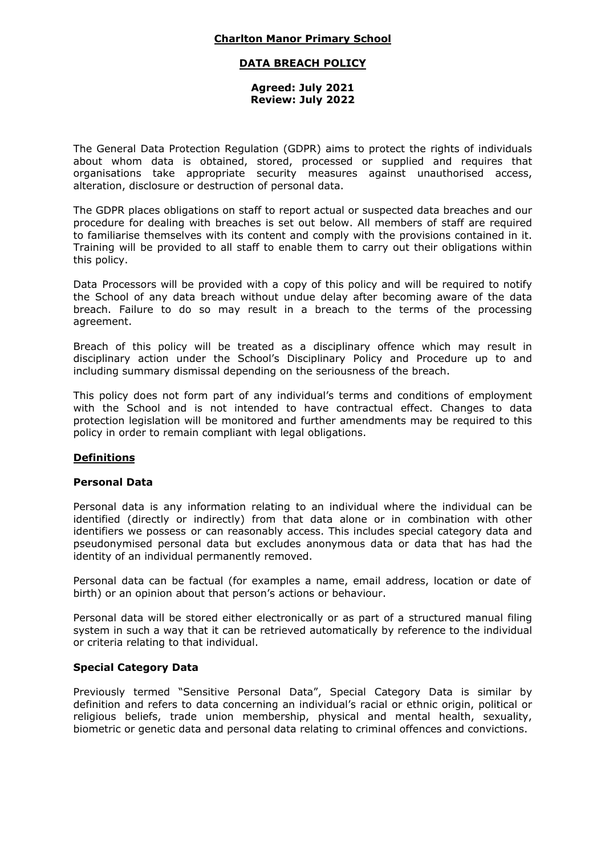## **DATA BREACH POLICY**

#### **Agreed: July 2021 Review: July 2022**

The General Data Protection Regulation (GDPR) aims to protect the rights of individuals about whom data is obtained, stored, processed or supplied and requires that organisations take appropriate security measures against unauthorised access, alteration, disclosure or destruction of personal data.

The GDPR places obligations on staff to report actual or suspected data breaches and our procedure for dealing with breaches is set out below. All members of staff are required to familiarise themselves with its content and comply with the provisions contained in it. Training will be provided to all staff to enable them to carry out their obligations within this policy.

Data Processors will be provided with a copy of this policy and will be required to notify the School of any data breach without undue delay after becoming aware of the data breach. Failure to do so may result in a breach to the terms of the processing agreement.

Breach of this policy will be treated as a disciplinary offence which may result in disciplinary action under the School's Disciplinary Policy and Procedure up to and including summary dismissal depending on the seriousness of the breach.

This policy does not form part of any individual's terms and conditions of employment with the School and is not intended to have contractual effect. Changes to data protection legislation will be monitored and further amendments may be required to this policy in order to remain compliant with legal obligations.

# **Definitions**

### **Personal Data**

Personal data is any information relating to an individual where the individual can be identified (directly or indirectly) from that data alone or in combination with other identifiers we possess or can reasonably access. This includes special category data and pseudonymised personal data but excludes anonymous data or data that has had the identity of an individual permanently removed.

Personal data can be factual (for examples a name, email address, location or date of birth) or an opinion about that person's actions or behaviour.

Personal data will be stored either electronically or as part of a structured manual filing system in such a way that it can be retrieved automatically by reference to the individual or criteria relating to that individual.

### **Special Category Data**

Previously termed "Sensitive Personal Data", Special Category Data is similar by definition and refers to data concerning an individual's racial or ethnic origin, political or religious beliefs, trade union membership, physical and mental health, sexuality, biometric or genetic data and personal data relating to criminal offences and convictions.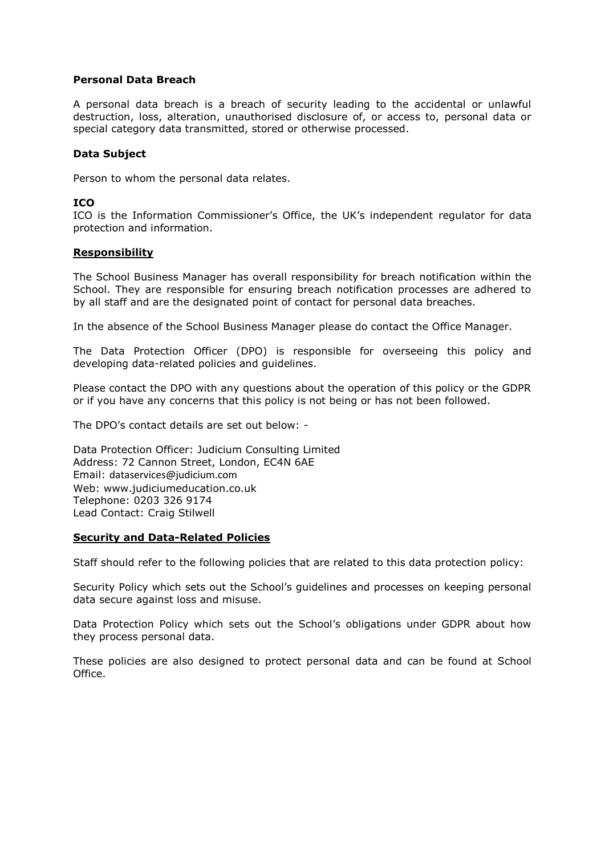### **Personal Data Breach**

A personal data breach is a breach of security leading to the accidental or unlawful destruction, loss, alteration, unauthorised disclosure of, or access to, personal data or special category data transmitted, stored or otherwise processed.

## **Data Subject**

Person to whom the personal data relates.

### **ICO**

ICO is the Information Commissioner's Office, the UK's independent regulator for data protection and information.

### **Responsibility**

The School Business Manager has overall responsibility for breach notification within the School. They are responsible for ensuring breach notification processes are adhered to by all staff and are the designated point of contact for personal data breaches.

In the absence of the School Business Manager please do contact the Office Manager.

The Data Protection Officer (DPO) is responsible for overseeing this policy and developing data-related policies and guidelines.

Please contact the DPO with any questions about the operation of this policy or the GDPR or if you have any concerns that this policy is not being or has not been followed.

The DPO's contact details are set out below: -

Data Protection Officer: Judicium Consulting Limited Address: 72 Cannon Street, London, EC4N 6AE Email: [dataservices@judicium.com](mailto:dataservices@judicium.com) Web: www.judiciumeducation.co.uk Telephone: 0203 326 9174 Lead Contact: Craig Stilwell

### **Security and Data-Related Policies**

Staff should refer to the following policies that are related to this data protection policy:

Security Policy which sets out the School's guidelines and processes on keeping personal data secure against loss and misuse.

Data Protection Policy which sets out the School's obligations under GDPR about how they process personal data.

These policies are also designed to protect personal data and can be found at School Office.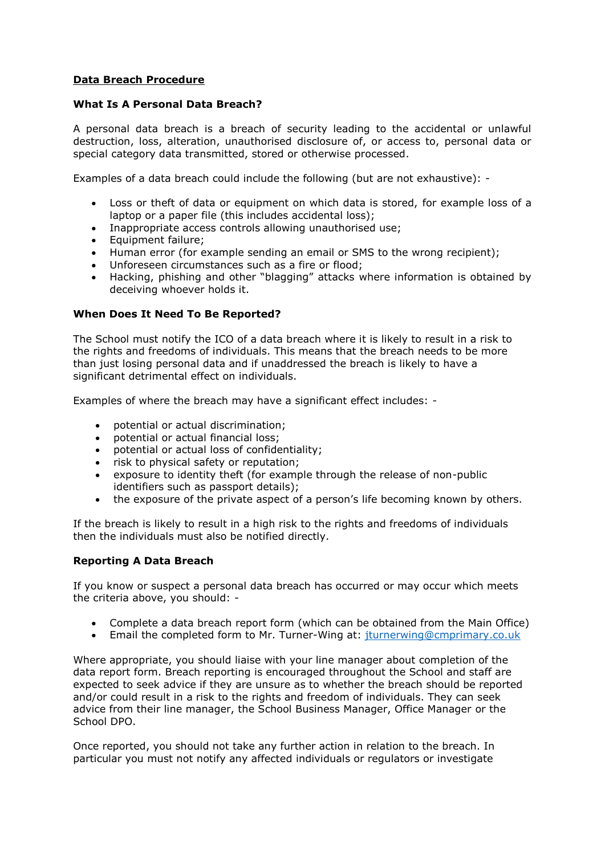### **Data Breach Procedure**

### **What Is A Personal Data Breach?**

A personal data breach is a breach of security leading to the accidental or unlawful destruction, loss, alteration, unauthorised disclosure of, or access to, personal data or special category data transmitted, stored or otherwise processed.

Examples of a data breach could include the following (but are not exhaustive): -

- Loss or theft of data or equipment on which data is stored, for example loss of a laptop or a paper file (this includes accidental loss);
- Inappropriate access controls allowing unauthorised use;
- Equipment failure:
- Human error (for example sending an email or SMS to the wrong recipient);
- Unforeseen circumstances such as a fire or flood;
- Hacking, phishing and other "blagging" attacks where information is obtained by deceiving whoever holds it.

## **When Does It Need To Be Reported?**

The School must notify the ICO of a data breach where it is likely to result in a risk to the rights and freedoms of individuals. This means that the breach needs to be more than just losing personal data and if unaddressed the breach is likely to have a significant detrimental effect on individuals.

Examples of where the breach may have a significant effect includes: -

- potential or actual discrimination;
- potential or actual financial loss;
- potential or actual loss of confidentiality;
- risk to physical safety or reputation;
- exposure to identity theft (for example through the release of non-public identifiers such as passport details);
- the exposure of the private aspect of a person's life becoming known by others.

If the breach is likely to result in a high risk to the rights and freedoms of individuals then the individuals must also be notified directly.

### **Reporting A Data Breach**

If you know or suspect a personal data breach has occurred or may occur which meets the criteria above, you should: -

- Complete a data breach report form (which can be obtained from the Main Office)
- Email the completed form to Mr. Turner-Wing at: [jturnerwing@cmprimary.co.uk](mailto:jturnerwing@cmprimary.co.uk)

Where appropriate, you should liaise with your line manager about completion of the data report form. Breach reporting is encouraged throughout the School and staff are expected to seek advice if they are unsure as to whether the breach should be reported and/or could result in a risk to the rights and freedom of individuals. They can seek advice from their line manager, the School Business Manager, Office Manager or the School DPO.

Once reported, you should not take any further action in relation to the breach. In particular you must not notify any affected individuals or regulators or investigate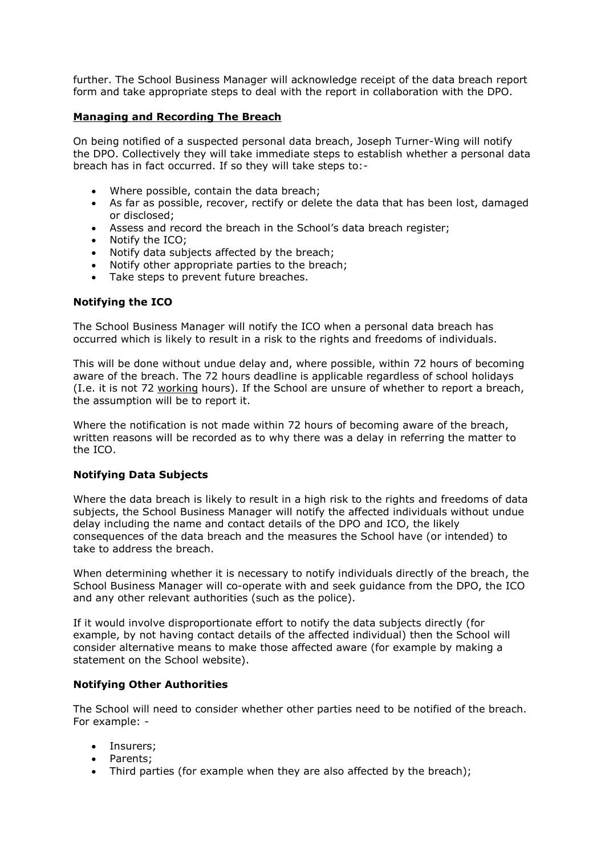further. The School Business Manager will acknowledge receipt of the data breach report form and take appropriate steps to deal with the report in collaboration with the DPO.

### **Managing and Recording The Breach**

On being notified of a suspected personal data breach, Joseph Turner-Wing will notify the DPO. Collectively they will take immediate steps to establish whether a personal data breach has in fact occurred. If so they will take steps to:-

- Where possible, contain the data breach;
- As far as possible, recover, rectify or delete the data that has been lost, damaged or disclosed;
- Assess and record the breach in the School's data breach register;
- Notify the ICO:
- Notify data subjects affected by the breach;
- Notify other appropriate parties to the breach;
- Take steps to prevent future breaches.

#### **Notifying the ICO**

The School Business Manager will notify the ICO when a personal data breach has occurred which is likely to result in a risk to the rights and freedoms of individuals.

This will be done without undue delay and, where possible, within 72 hours of becoming aware of the breach. The 72 hours deadline is applicable regardless of school holidays (I.e. it is not 72 working hours). If the School are unsure of whether to report a breach, the assumption will be to report it.

Where the notification is not made within 72 hours of becoming aware of the breach, written reasons will be recorded as to why there was a delay in referring the matter to the ICO.

### **Notifying Data Subjects**

Where the data breach is likely to result in a high risk to the rights and freedoms of data subjects, the School Business Manager will notify the affected individuals without undue delay including the name and contact details of the DPO and ICO, the likely consequences of the data breach and the measures the School have (or intended) to take to address the breach.

When determining whether it is necessary to notify individuals directly of the breach, the School Business Manager will co-operate with and seek guidance from the DPO, the ICO and any other relevant authorities (such as the police).

If it would involve disproportionate effort to notify the data subjects directly (for example, by not having contact details of the affected individual) then the School will consider alternative means to make those affected aware (for example by making a statement on the School website).

#### **Notifying Other Authorities**

The School will need to consider whether other parties need to be notified of the breach. For example: -

- Insurers;
- Parents;
- Third parties (for example when they are also affected by the breach);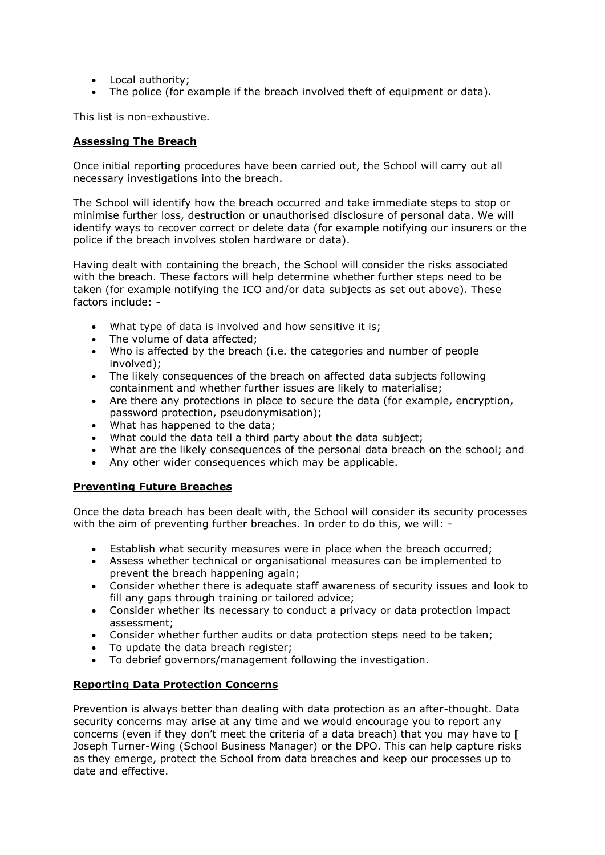- Local authority;
- The police (for example if the breach involved theft of equipment or data).

This list is non-exhaustive.

## **Assessing The Breach**

Once initial reporting procedures have been carried out, the School will carry out all necessary investigations into the breach.

The School will identify how the breach occurred and take immediate steps to stop or minimise further loss, destruction or unauthorised disclosure of personal data. We will identify ways to recover correct or delete data (for example notifying our insurers or the police if the breach involves stolen hardware or data).

Having dealt with containing the breach, the School will consider the risks associated with the breach. These factors will help determine whether further steps need to be taken (for example notifying the ICO and/or data subjects as set out above). These factors include: -

- What type of data is involved and how sensitive it is;
- The volume of data affected;
- Who is affected by the breach (i.e. the categories and number of people involved);
- The likely consequences of the breach on affected data subjects following containment and whether further issues are likely to materialise;
- Are there any protections in place to secure the data (for example, encryption, password protection, pseudonymisation);
- What has happened to the data;
- What could the data tell a third party about the data subject;
- What are the likely consequences of the personal data breach on the school; and
- Any other wider consequences which may be applicable.

# **Preventing Future Breaches**

Once the data breach has been dealt with, the School will consider its security processes with the aim of preventing further breaches. In order to do this, we will: -

- Establish what security measures were in place when the breach occurred;
- Assess whether technical or organisational measures can be implemented to prevent the breach happening again;
- Consider whether there is adequate staff awareness of security issues and look to fill any gaps through training or tailored advice;
- Consider whether its necessary to conduct a privacy or data protection impact assessment;
- Consider whether further audits or data protection steps need to be taken;
- To update the data breach register:
- To debrief governors/management following the investigation.

# **Reporting Data Protection Concerns**

Prevention is always better than dealing with data protection as an after-thought. Data security concerns may arise at any time and we would encourage you to report any concerns (even if they don't meet the criteria of a data breach) that you may have to [ Joseph Turner-Wing (School Business Manager) or the DPO. This can help capture risks as they emerge, protect the School from data breaches and keep our processes up to date and effective.